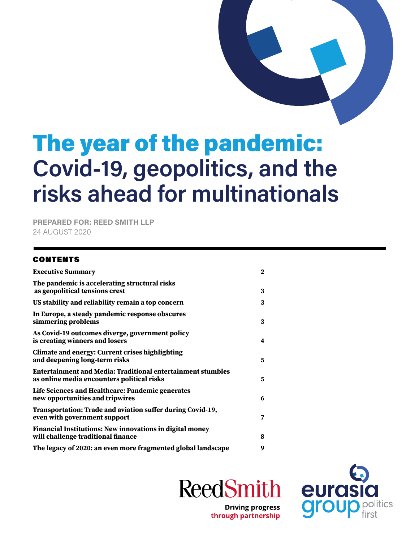# The year of the pandemic: **Covid-19, geopolitics, and the risks ahead for multinationals**

**PREPARED FOR: REED SMITH LLP** 24 AUGUST 2020

#### CONTENTS

| <b>Executive Summary</b>                                                                                         | $\mathbf{2}$ |
|------------------------------------------------------------------------------------------------------------------|--------------|
| The pandemic is accelerating structural risks<br>as geopolitical tensions crest                                  | 3            |
| US stability and reliability remain a top concern                                                                | 3            |
| In Europe, a steady pandemic response obscures<br>simmering problems                                             | 3            |
| As Covid-19 outcomes diverge, government policy<br>is creating winners and losers                                | 4            |
| <b>Climate and energy: Current crises highlighting</b><br>and deepening long-term risks                          | 5            |
| <b>Entertainment and Media: Traditional entertainment stumbles</b><br>as online media encounters political risks | 5            |
| Life Sciences and Healthcare: Pandemic generates<br>new opportunities and tripwires                              | 6            |
| Transportation: Trade and aviation suffer during Covid-19,<br>even with government support                       | 7            |
| <b>Financial Institutions: New innovations in digital money</b><br>will challenge traditional finance            | 8            |
| The legacy of 2020: an even more fragmented global landscape                                                     | 9            |

**ReedSmith** 



**Driving progress** through partnership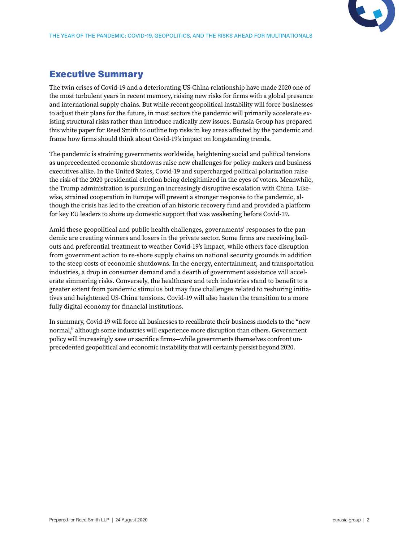

## <span id="page-1-0"></span>Executive Summary

The twin crises of Covid-19 and a deteriorating US-China relationship have made 2020 one of the most turbulent years in recent memory, raising new risks for firms with a global presence and international supply chains. But while recent geopolitical instability will force businesses to adjust their plans for the future, in most sectors the pandemic will primarily accelerate existing structural risks rather than introduce radically new issues. Eurasia Group has prepared this white paper for Reed Smith to outline top risks in key areas affected by the pandemic and frame how firms should think about Covid-19's impact on longstanding trends.

The pandemic is straining governments worldwide, heightening social and political tensions as unprecedented economic shutdowns raise new challenges for policy-makers and business executives alike. In the United States, Covid-19 and supercharged political polarization raise the risk of the 2020 presidential election being delegitimized in the eyes of voters. Meanwhile, the Trump administration is pursuing an increasingly disruptive escalation with China. Likewise, strained cooperation in Europe will prevent a stronger response to the pandemic, although the crisis has led to the creation of an historic recovery fund and provided a platform for key EU leaders to shore up domestic support that was weakening before Covid-19.

Amid these geopolitical and public health challenges, governments' responses to the pandemic are creating winners and losers in the private sector. Some firms are receiving bailouts and preferential treatment to weather Covid-19's impact, while others face disruption from government action to re-shore supply chains on national security grounds in addition to the steep costs of economic shutdowns. In the energy, entertainment, and transportation industries, a drop in consumer demand and a dearth of government assistance will accelerate simmering risks. Conversely, the healthcare and tech industries stand to benefit to a greater extent from pandemic stimulus but may face challenges related to reshoring initiatives and heightened US-China tensions. Covid-19 will also hasten the transition to a more fully digital economy for financial institutions.

In summary, Covid-19 will force all businesses to recalibrate their business models to the "new normal," although some industries will experience more disruption than others. Government policy will increasingly save or sacrifice firms—while governments themselves confront unprecedented geopolitical and economic instability that will certainly persist beyond 2020.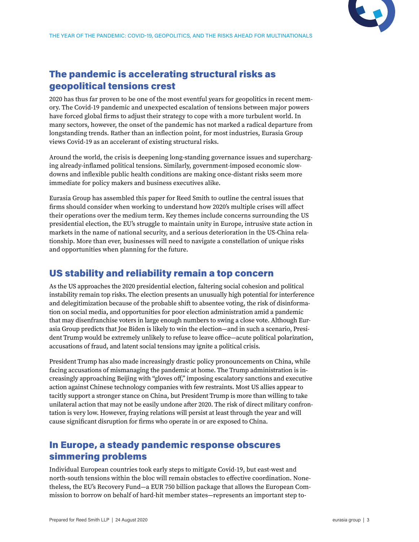

# <span id="page-2-0"></span>The pandemic is accelerating structural risks as geopolitical tensions crest

2020 has thus far proven to be one of the most eventful years for geopolitics in recent memory. The Covid-19 pandemic and unexpected escalation of tensions between major powers have forced global firms to adjust their strategy to cope with a more turbulent world. In many sectors, however, the onset of the pandemic has not marked a radical departure from longstanding trends. Rather than an inflection point, for most industries, Eurasia Group views Covid-19 as an accelerant of existing structural risks.

Around the world, the crisis is deepening long-standing governance issues and supercharging already-inflamed political tensions. Similarly, government-imposed economic slowdowns and inflexible public health conditions are making once-distant risks seem more immediate for policy makers and business executives alike.

Eurasia Group has assembled this paper for Reed Smith to outline the central issues that firms should consider when working to understand how 2020's multiple crises will affect their operations over the medium term. Key themes include concerns surrounding the US presidential election, the EU's struggle to maintain unity in Europe, intrusive state action in markets in the name of national security, and a serious deterioration in the US-China relationship. More than ever, businesses will need to navigate a constellation of unique risks and opportunities when planning for the future.

#### US stability and reliability remain a top concern

As the US approaches the 2020 presidential election, faltering social cohesion and political instability remain top risks. The election presents an unusually high potential for interference and delegitimization because of the probable shift to absentee voting, the risk of disinformation on social media, and opportunities for poor election administration amid a pandemic that may disenfranchise voters in large enough numbers to swing a close vote. Although Eurasia Group predicts that Joe Biden is likely to win the election—and in such a scenario, President Trump would be extremely unlikely to refuse to leave office—acute political polarization, accusations of fraud, and latent social tensions may ignite a political crisis.

President Trump has also made increasingly drastic policy pronouncements on China, while facing accusations of mismanaging the pandemic at home. The Trump administration is increasingly approaching Beijing with "gloves off," imposing escalatory sanctions and executive action against Chinese technology companies with few restraints. Most US allies appear to tacitly support a stronger stance on China, but President Trump is more than willing to take unilateral action that may not be easily undone after 2020. The risk of direct military confrontation is very low. However, fraying relations will persist at least through the year and will cause significant disruption for firms who operate in or are exposed to China.

#### In Europe, a steady pandemic response obscures simmering problems

Individual European countries took early steps to mitigate Covid-19, but east-west and north-south tensions within the bloc will remain obstacles to effective coordination. Nonetheless, the EU's Recovery Fund—a EUR 750 billion package that allows the European Commission to borrow on behalf of hard-hit member states—represents an important step to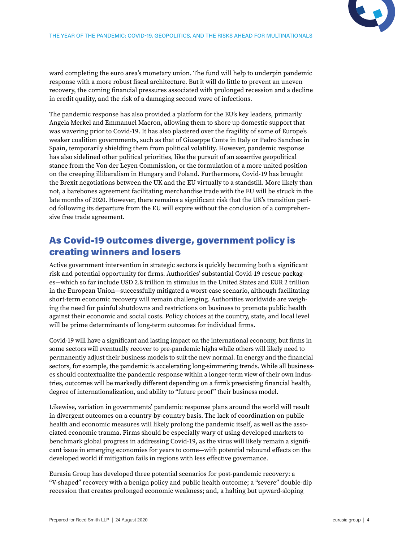<span id="page-3-0"></span>ward completing the euro area's monetary union. The fund will help to underpin pandemic response with a more robust fiscal architecture. But it will do little to prevent an uneven recovery, the coming financial pressures associated with prolonged recession and a decline in credit quality, and the risk of a damaging second wave of infections.

The pandemic response has also provided a platform for the EU's key leaders, primarily Angela Merkel and Emmanuel Macron, allowing them to shore up domestic support that was wavering prior to Covid-19. It has also plastered over the fragility of some of Europe's weaker coalition governments, such as that of Giuseppe Conte in Italy or Pedro Sanchez in Spain, temporarily shielding them from political volatility. However, pandemic response has also sidelined other political priorities, like the pursuit of an assertive geopolitical stance from the Von der Leyen Commission, or the formulation of a more united position on the creeping illiberalism in Hungary and Poland. Furthermore, Covid-19 has brought the Brexit negotiations between the UK and the EU virtually to a standstill. More likely than not, a barebones agreement facilitating merchandise trade with the EU will be struck in the late months of 2020. However, there remains a significant risk that the UK's transition period following its departure from the EU will expire without the conclusion of a comprehensive free trade agreement.

#### As Covid-19 outcomes diverge, government policy is creating winners and losers

Active government intervention in strategic sectors is quickly becoming both a significant risk and potential opportunity for firms. Authorities' substantial Covid-19 rescue packages—which so far include USD 2.8 trillion in stimulus in the United States and EUR 2 trillion in the European Union—successfully mitigated a worst-case scenario, although facilitating short-term economic recovery will remain challenging. Authorities worldwide are weighing the need for painful shutdowns and restrictions on business to promote public health against their economic and social costs. Policy choices at the country, state, and local level will be prime determinants of long-term outcomes for individual firms.

Covid-19 will have a significant and lasting impact on the international economy, but firms in some sectors will eventually recover to pre-pandemic highs while others will likely need to permanently adjust their business models to suit the new normal. In energy and the financial sectors, for example, the pandemic is accelerating long-simmering trends. While all businesses should contextualize the pandemic response within a longer-term view of their own industries, outcomes will be markedly different depending on a firm's preexisting financial health, degree of internationalization, and ability to "future proof" their business model.

Likewise, variation in governments' pandemic response plans around the world will result in divergent outcomes on a country-by-country basis. The lack of coordination on public health and economic measures will likely prolong the pandemic itself, as well as the associated economic trauma. Firms should be especially wary of using developed markets to benchmark global progress in addressing Covid-19, as the virus will likely remain a significant issue in emerging economies for years to come—with potential rebound effects on the developed world if mitigation fails in regions with less effective governance.

Eurasia Group has developed three potential scenarios for post-pandemic recovery: a "V-shaped" recovery with a benign policy and public health outcome; a "severe" double-dip recession that creates prolonged economic weakness; and, a halting but upward-sloping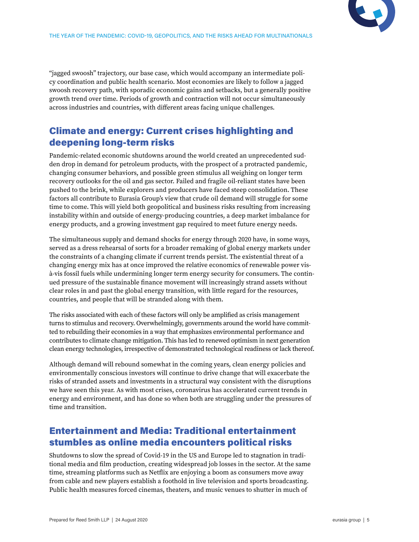

<span id="page-4-0"></span>"jagged swoosh" trajectory, our base case, which would accompany an intermediate policy coordination and public health scenario. Most economies are likely to follow a jagged swoosh recovery path, with sporadic economic gains and setbacks, but a generally positive growth trend over time. Periods of growth and contraction will not occur simultaneously across industries and countries, with different areas facing unique challenges.

#### Climate and energy: Current crises highlighting and deepening long-term risks

Pandemic-related economic shutdowns around the world created an unprecedented sudden drop in demand for petroleum products, with the prospect of a protracted pandemic, changing consumer behaviors, and possible green stimulus all weighing on longer term recovery outlooks for the oil and gas sector. Failed and fragile oil-reliant states have been pushed to the brink, while explorers and producers have faced steep consolidation. These factors all contribute to Eurasia Group's view that crude oil demand will struggle for some time to come. This will yield both geopolitical and business risks resulting from increasing instability within and outside of energy-producing countries, a deep market imbalance for energy products, and a growing investment gap required to meet future energy needs.

The simultaneous supply and demand shocks for energy through 2020 have, in some ways, served as a dress rehearsal of sorts for a broader remaking of global energy markets under the constraints of a changing climate if current trends persist. The existential threat of a changing energy mix has at once improved the relative economics of renewable power visà-vis fossil fuels while undermining longer term energy security for consumers. The continued pressure of the sustainable finance movement will increasingly strand assets without clear roles in and past the global energy transition, with little regard for the resources, countries, and people that will be stranded along with them.

The risks associated with each of these factors will only be amplified as crisis management turns to stimulus and recovery. Overwhelmingly, governments around the world have committed to rebuilding their economies in a way that emphasizes environmental performance and contributes to climate change mitigation. This has led to renewed optimism in next generation clean energy technologies, irrespective of demonstrated technological readiness or lack thereof.

Although demand will rebound somewhat in the coming years, clean energy policies and environmentally conscious investors will continue to drive change that will exacerbate the risks of stranded assets and investments in a structural way consistent with the disruptions we have seen this year. As with most crises, coronavirus has accelerated current trends in energy and environment, and has done so when both are struggling under the pressures of time and transition.

#### Entertainment and Media: Traditional entertainment stumbles as online media encounters political risks

Shutdowns to slow the spread of Covid-19 in the US and Europe led to stagnation in traditional media and film production, creating widespread job losses in the sector. At the same time, streaming platforms such as Netflix are enjoying a boom as consumers move away from cable and new players establish a foothold in live television and sports broadcasting. Public health measures forced cinemas, theaters, and music venues to shutter in much of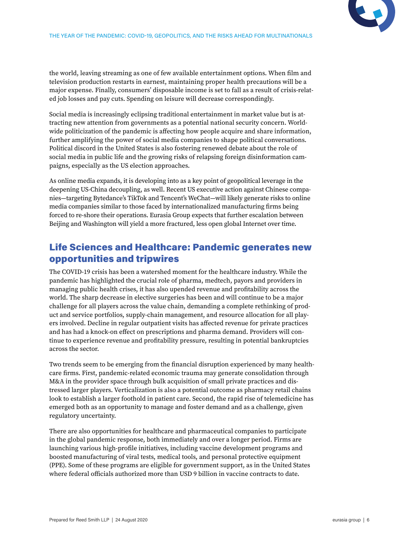<span id="page-5-0"></span>the world, leaving streaming as one of few available entertainment options. When film and television production restarts in earnest, maintaining proper health precautions will be a major expense. Finally, consumers' disposable income is set to fall as a result of crisis-related job losses and pay cuts. Spending on leisure will decrease correspondingly.

Social media is increasingly eclipsing traditional entertainment in market value but is attracting new attention from governments as a potential national security concern. Worldwide politicization of the pandemic is affecting how people acquire and share information, further amplifying the power of social media companies to shape political conversations. Political discord in the United States is also fostering renewed debate about the role of social media in public life and the growing risks of relapsing foreign disinformation campaigns, especially as the US election approaches.

As online media expands, it is developing into as a key point of geopolitical leverage in the deepening US-China decoupling, as well. Recent US executive action against Chinese companies—targeting Bytedance's TikTok and Tencent's WeChat—will likely generate risks to online media companies similar to those faced by internationalized manufacturing firms being forced to re-shore their operations. Eurasia Group expects that further escalation between Beijing and Washington will yield a more fractured, less open global Internet over time.

#### Life Sciences and Healthcare: Pandemic generates new opportunities and tripwires

The COVID-19 crisis has been a watershed moment for the healthcare industry. While the pandemic has highlighted the crucial role of pharma, medtech, payors and providers in managing public health crises, it has also upended revenue and profitability across the world. The sharp decrease in elective surgeries has been and will continue to be a major challenge for all players across the value chain, demanding a complete rethinking of product and service portfolios, supply-chain management, and resource allocation for all players involved. Decline in regular outpatient visits has affected revenue for private practices and has had a knock-on effect on prescriptions and pharma demand. Providers will continue to experience revenue and profitability pressure, resulting in potential bankruptcies across the sector.

Two trends seem to be emerging from the financial disruption experienced by many healthcare firms. First, pandemic-related economic trauma may generate consolidation through M&A in the provider space through bulk acquisition of small private practices and distressed larger players. Verticalization is also a potential outcome as pharmacy retail chains look to establish a larger foothold in patient care. Second, the rapid rise of telemedicine has emerged both as an opportunity to manage and foster demand and as a challenge, given regulatory uncertainty.

There are also opportunities for healthcare and pharmaceutical companies to participate in the global pandemic response, both immediately and over a longer period. Firms are launching various high-profile initiatives, including vaccine development programs and boosted manufacturing of viral tests, medical tools, and personal protective equipment (PPE). Some of these programs are eligible for government support, as in the United States where federal officials authorized more than USD 9 billion in vaccine contracts to date.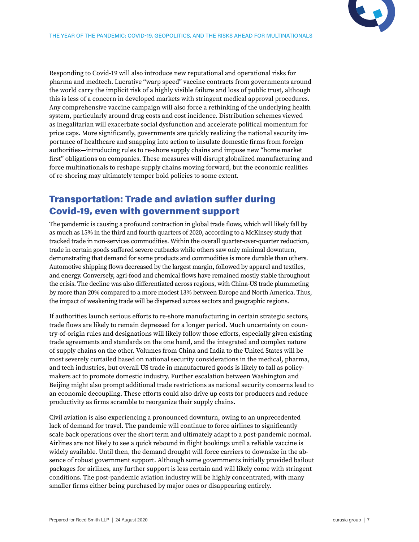<span id="page-6-0"></span>Responding to Covid-19 will also introduce new reputational and operational risks for pharma and medtech. Lucrative "warp speed" vaccine contracts from governments around the world carry the implicit risk of a highly visible failure and loss of public trust, although this is less of a concern in developed markets with stringent medical approval procedures. Any comprehensive vaccine campaign will also force a rethinking of the underlying health system, particularly around drug costs and cost incidence. Distribution schemes viewed as inegalitarian will exacerbate social dysfunction and accelerate political momentum for price caps. More significantly, governments are quickly realizing the national security importance of healthcare and snapping into action to insulate domestic firms from foreign authorities—introducing rules to re-shore supply chains and impose new "home market first" obligations on companies. These measures will disrupt globalized manufacturing and force multinationals to reshape supply chains moving forward, but the economic realities of re-shoring may ultimately temper bold policies to some extent.

#### Transportation: Trade and aviation suffer during Covid-19, even with government support

The pandemic is causing a profound contraction in global trade flows, which will likely fall by as much as 15% in the third and fourth quarters of 2020, according to a McKinsey study that tracked trade in non-services commodities. Within the overall quarter-over-quarter reduction, trade in certain goods suffered severe cutbacks while others saw only minimal downturn, demonstrating that demand for some products and commodities is more durable than others. Automotive shipping flows decreased by the largest margin, followed by apparel and textiles, and energy. Conversely, agri-food and chemical flows have remained mostly stable throughout the crisis. The decline was also differentiated across regions, with China-US trade plummeting by more than 20% compared to a more modest 13% between Europe and North America. Thus, the impact of weakening trade will be dispersed across sectors and geographic regions.

If authorities launch serious efforts to re-shore manufacturing in certain strategic sectors, trade flows are likely to remain depressed for a longer period. Much uncertainty on country-of-origin rules and designations will likely follow those efforts, especially given existing trade agreements and standards on the one hand, and the integrated and complex nature of supply chains on the other. Volumes from China and India to the United States will be most severely curtailed based on national security considerations in the medical, pharma, and tech industries, but overall US trade in manufactured goods is likely to fall as policymakers act to promote domestic industry. Further escalation between Washington and Beijing might also prompt additional trade restrictions as national security concerns lead to an economic decoupling. These efforts could also drive up costs for producers and reduce productivity as firms scramble to reorganize their supply chains.

Civil aviation is also experiencing a pronounced downturn, owing to an unprecedented lack of demand for travel. The pandemic will continue to force airlines to significantly scale back operations over the short term and ultimately adapt to a post-pandemic normal. Airlines are not likely to see a quick rebound in flight bookings until a reliable vaccine is widely available. Until then, the demand drought will force carriers to downsize in the absence of robust government support. Although some governments initially provided bailout packages for airlines, any further support is less certain and will likely come with stringent conditions. The post-pandemic aviation industry will be highly concentrated, with many smaller firms either being purchased by major ones or disappearing entirely.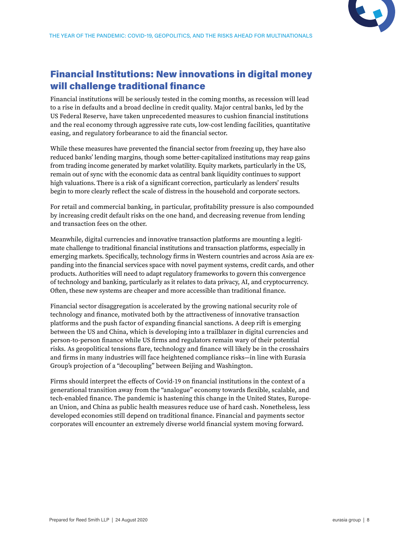

# <span id="page-7-0"></span>Financial Institutions: New innovations in digital money will challenge traditional finance

Financial institutions will be seriously tested in the coming months, as recession will lead to a rise in defaults and a broad decline in credit quality. Major central banks, led by the US Federal Reserve, have taken unprecedented measures to cushion financial institutions and the real economy through aggressive rate cuts, low-cost lending facilities, quantitative easing, and regulatory forbearance to aid the financial sector.

While these measures have prevented the financial sector from freezing up, they have also reduced banks' lending margins, though some better-capitalized institutions may reap gains from trading income generated by market volatility. Equity markets, particularly in the US, remain out of sync with the economic data as central bank liquidity continues to support high valuations. There is a risk of a significant correction, particularly as lenders' results begin to more clearly reflect the scale of distress in the household and corporate sectors.

For retail and commercial banking, in particular, profitability pressure is also compounded by increasing credit default risks on the one hand, and decreasing revenue from lending and transaction fees on the other.

Meanwhile, digital currencies and innovative transaction platforms are mounting a legitimate challenge to traditional financial institutions and transaction platforms, especially in emerging markets. Specifically, technology firms in Western countries and across Asia are expanding into the financial services space with novel payment systems, credit cards, and other products. Authorities will need to adapt regulatory frameworks to govern this convergence of technology and banking, particularly as it relates to data privacy, AI, and cryptocurrency. Often, these new systems are cheaper and more accessible than traditional finance.

Financial sector disaggregation is accelerated by the growing national security role of technology and finance, motivated both by the attractiveness of innovative transaction platforms and the push factor of expanding financial sanctions. A deep rift is emerging between the US and China, which is developing into a trailblazer in digital currencies and person-to-person finance while US firms and regulators remain wary of their potential risks. As geopolitical tensions flare, technology and finance will likely be in the crosshairs and firms in many industries will face heightened compliance risks—in line with Eurasia Group's projection of a "decoupling" between Beijing and Washington.

Firms should interpret the effects of Covid-19 on financial institutions in the context of a generational transition away from the "analogue" economy towards flexible, scalable, and tech-enabled finance. The pandemic is hastening this change in the United States, European Union, and China as public health measures reduce use of hard cash. Nonetheless, less developed economies still depend on traditional finance. Financial and payments sector corporates will encounter an extremely diverse world financial system moving forward.